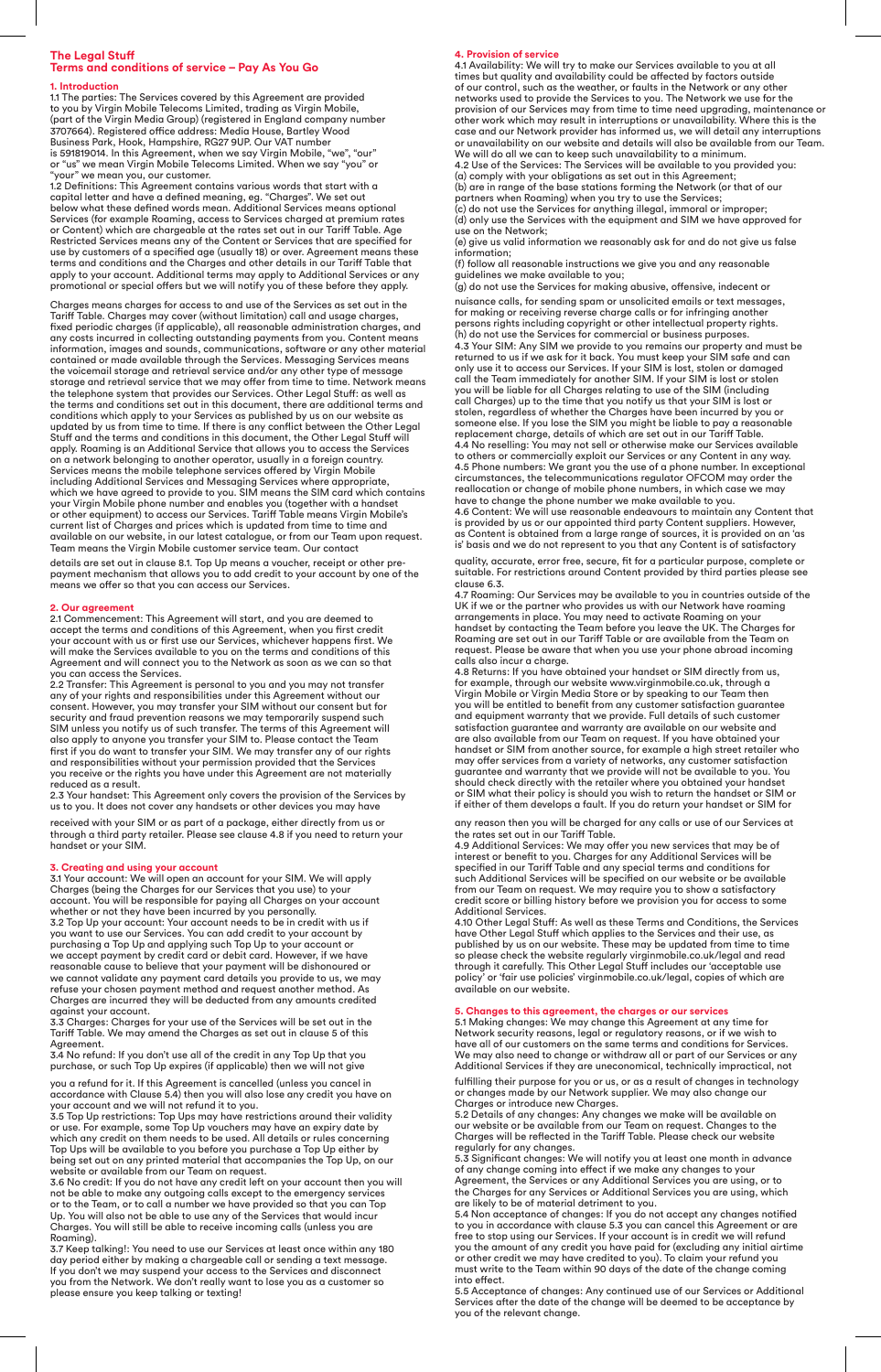# **The Legal Stuff Terms and conditions of service – Pay As You Go**

1. Introduction<br>1.1 The parties: The Services covered by this Agreement are provided<br>to you by Virgin Mobile Telecoms Limited, trading as Virgin Mobile,<br>(part of the Virgin Media Group) (registered in England company numbe 3707664). Registered office address: Media House, Bartley Wood<br>Business Park, Hook, Hampshire, RG27 9UP. Our VAT number<br>is 591819014. In this Agreement, when we say Virgin Mobile, "we", "our"<br>or "us" we mean Virgin Mobile

1.2 Definitions: This Agreement contains various words that start with a<br>capital letter and have a defined meaning, eg. "Charges". We set out<br>below what these defined words mean. Additional Services means optional Services (for example Roaming, access to Services charged at premium rates or Content) which are chargeable at the rates set out in our Tariff Table. Age<br>Restricted Services means any of the Content or Services that are specified for<br>use by customers of a specified age (usually 18) or over. Agree terms and conditions and the Charges and other details in our Tariff Table that apply to your account. Additional terms may apply to Additional Services or any promotional or special offers but we will notify you of these before they apply.

Charges means charges for access to and use of the Services as set out in the Tariff Table. Charges may cover (without limitation) call and usage charges, fixed periodic charges (if applicable), all reasonable administration charges, and any costs incurred in collecting outstanding payments from you. Content means information, images and sounds, communications, software or any other material contained or made available through the Services. Messaging Services means the voicemail storage and retrieval service and/or any other type of message storage and retrieval service that we may offer from time to time. Network means<br>the telephone system that provides our Services. Other Legal Stuff: as well as<br>the terms and conditions set out in this document, there are a conditions which apply to your Services as published by us on our website as<br>updated by us from time to time. If there is any conflict between the Other Legal<br>Stuff and the terms and conditions in this document, the Other on a network belonging to another operator, usually in a foreign country.<br>Services means the mobile telephone services offered by Virgin Mobile<br>including Additional Services and Messaging Services where appropriate,<br>which or other equipment) to access our Services. Tariff Table means Virgin Mobile's<br>current list of Charges and prices which is updated from time to time and<br>available on our website, in our latest catalogue, or from our Team u

details are set out in clause 8.1. Top Up means a voucher, receipt or other prepayment mechanism that allows you to add credit to your account by one of the means we offer so that you can access our Services.

**2. Our agreement** 2.1 Commencement: This Agreement will start, and you are deemed to accept the terms and conditions of this Agreement, when you first credit<br>your account with us or first use our Services, whichever happens first. We<br>will make the Services available to you on the terms and conditions of th

you can access the Services.<br>2.2 Transfer: This Agreement is personal to you and you may not transfer<br>any of your rights and responsibilities under this Agreement without our consent. However, you may transfer your SIM without our consent but for<br>security and fraud prevention reasons we may temporarily suspend such<br>SIM unless you notify us of such transfer. The terms of this Agreement will<br>also and responsibilities without your permission provided that the Services you receive or the rights you have under this Agreement are not materially reduced as a result.

2.3 Your handset: This Agreement only covers the provision of the Services by us to you. It does not cover any handsets or other devices you may have

received with your SIM or as part of a package, either directly from us or through a third party retailer. Please see clause 4.8 if you need to return your handset or your SIM.

**3. Creating and using your account** 3.1 Your account: We will open an account for your SIM. We will apply

Charges (being the Charges for our Services that you use) to your<br>account. You will be responsible for paying all Charges on your account<br>whether or not they have been incurred by you personally.<br>3.2 Top Up your account: Y reasonable cause to believe that your payment will be dishonoured or we cannot validate any payment card details you provide to us, we may refuse your chosen payment method and request another method. As Charges are incurred they will be deducted from any amounts credited against your account.

3.3 Charges: Charges for your use of the Services will be set out in the Tariff Table. We may amend the Charges as set out in clause 5 of this Agreement.

3.4 No refund: If you don't use all of the credit in any Top Up that you purchase, or such Top Up expires (if applicable) then we will not give

you a refund for it. If this Agreement is cancelled (unless you cancel in<br>accordance with Clause 5.4) then you will also lose any credit you have on<br>your account and we will not refund it to you.<br>3.5 Top Up restrictions: T

or use. For example, some Top Up vouchers may have an expiry date by which any credit on them needs to be used. All details or rules concerning Top Ups will be available to you before you purchase a Top Up either by being set out on any printed material that accompanies the Top Up, on our website or available from our Team on request.

3.6 No credit: If you do not have any credit left on your account then you will not be able to make any outgoing calls except to the emergency services or to the Team, or to call a number we have provided so that you can Top Up. You will also not be able to use any of the Services that would incur Charges. You will still be able to receive incoming calls (unless you are Roaming).

3.7 Keep talking!: You need to use our Services at least once within any 180 day period either by making a chargeable call or sending a text message. If you don't we may suspend your access to the Services and disconnect you from the Network. We don't really want to lose you as a customer so please ensure you keep talking or texting!

**4. Provision of service** 4.1 Availability: We will try to make our Services available to you at all times but quality and availability could be affected by factors outside of our control, such as the weather, or faults in the Network or any other networks used to provide the Services to you. The Network we use for the provision of our Services may from time to time need upgrading, maintenance or other work which may result in interruptions or unavailability. Where this is the<br>case and our Network provider has informed us, we will detail any interruptions<br>or unavailability on our website and details will also be av We will do all we can to keep such unavailability to a minimum. 4.2 Use of the Services: The Services will be available to you provided you:

(a) comply with your obligations as set out in this Agreement;<br>(b) are in range of the base stations forming the Network (or that of our<br>partners when Roaming) when you try to use the Services;<br>(c) do not use the Services

use on the Network; (e) give us valid information we reasonably ask for and do not give us false

information; (f) follow all reasonable instructions we give you and any reasonable

guidelines we make available to you; (g) do not use the Services for making abusive, offensive, indecent or

nuisance calls, for sending spam or unsolicited emails or text messages, for making or receiving reverse charge calls or for infringing another persons rights including copyright or other intellectual property rights. (h) do not use the Services for commercial or business purposes.<br>4.3 Your SIM: Any SIM we provide to you remains our property and must be<br>returned to us if we ask for it back. You must keep your SIM safe and can<br>only use i call Charges) up to the time that you notify us that your SIM is lost or<br>stolen, regardless of whether the Charges have been incurred by you or<br>someone else. If you lose the SIM you might be liable to pay a reasonable<br>repl to others or commercially exploit our Services or any Content in any way.<br>4.5 Phone numbers: We grant you the use of a phone number. In exceptional<br>circumstances, the telecommunications regulator OFCOM may order the<br>reallo have to change the phone number we make available to you.<br>4.6 Content: We will use reasonable endeavours to maintain any Content that<br>is provided by us or our appointed third party Content suppliers. However, as Content is obtained from a large range of sources, it is provided on an 'as is' basis and we do not represent to you that any Content is of satisfactory

quality, accurate, error free, secure, fit for a particular purpose, complete or suitable. For restrictions around Content provided by third parties please see clause 6.3.

4.7 Roaming: Our Services may be available to you in countries outside of the UK if we or the partner who provides us with our Network have roaming arrangements in place. You may need to activate Roaming on your handset by

calls also incur a charge. 4.8 Returns: If you have obtained your handset or SIM directly from us, for example, through our website www.virginmobile.co.uk, through a<br>Virgin Mobile or Virgin Media Store or by speaking to our Team then<br>you will be entitled to benefit from any customer satisfaction guarantee<br>and equipment may offer services from a variety of networks, any customer satisfaction guarantee and warranty that we provide will not be available to you. You should check directly with the retailer where you obtained your handset or SIM what their policy is should you wish to return the handset or SIM or if either of them develops a fault. If you do return your handset or SIM for

any reason then you will be charged for any calls or use of our Services at

the rates set out in our Tariff Table.<br>4.9 Additional Services: We may offer you new services that may be of<br>interest or benefit to you. Charges for any Additional Services will be specified in our Tariff Table and any special terms and conditions for such Additional Services will be specified on our website or be available from our Team on request. We may require you to show a satisfactory credit score or billing history before we provision you for access to some Additional Services.

4.10 Other Legal Stuff: As well as these Terms and Conditions, the Services<br>have Other Legal Stuff which applies to the Services and their use, as<br>published by us on our website. These may be updated from time to time<br>so p

5. Changes to this agreement, the charges or our services<br>5.1 Making changes: We may change this Agreement at any time for<br>Network security reasons, legal or regulatory reasons, or if we wish to<br>have all of our customers o We may also need to change or withdraw all or part of our Services or any Additional Services if they are uneconomical, technically impractical, not

fulfilling their purpose for you or us, or as a result of changes in technology or changes made by our Network supplier. We may also change our Charges or introduce new Charges.

5.2 Details of any changes: Any changes we make will be available on our website or be available from our Team on request. Changes to the Charges will be reflected in the Tariff Table. Please check our website

regularly for any changes.<br>5.3 Significant changes: We will notify you at least one month in advance<br>of any change coming into effect if we make any changes to your<br>Agreement, the Services or any Additional Services you ar

5.4 Non acceptance of changes: If you do not accept any changes notified<br>to you in accordance with clause 5.3 you can cancel this Agreement or are<br>free to stop using our Services. If your account is in credit we will refun must write to the Team within 90 days of the date of the change coming into effect.

5.5 Acceptance of changes: Any continued use of our Services or Additional Services after the date of the change will be deemed to be acceptance by you of the relevant change.